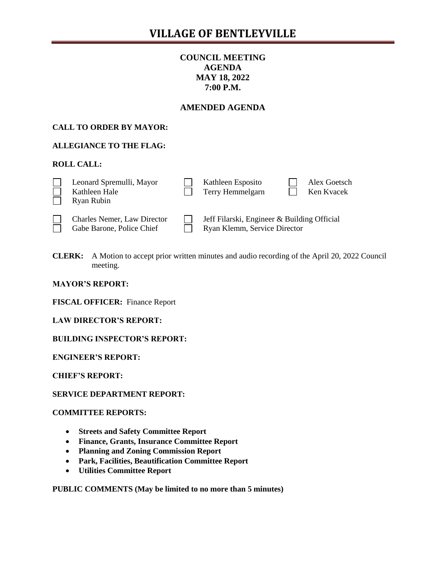# **COUNCIL MEETING AGENDA MAY 18, 2022 7:00 P.M.**

# **AMENDED AGENDA**

## **CALL TO ORDER BY MAYOR:**

## **ALLEGIANCE TO THE FLAG:**

### **ROLL CALL:**

| Leonard Spremulli, Mayor<br>Kathleen Hale | Kathleen Esposito<br>Terry Hemmelgarn | Alex Goetsch<br>Ken Kvacek |
|-------------------------------------------|---------------------------------------|----------------------------|
| Ryan Rubin                                |                                       |                            |

Gabe Barone, Police Chief  $\Box$  Ryan Klemm, Service Director

Charles Nemer, Law Director  $\Box$  Jeff Filarski, Engineer & Building Official

**CLERK:** A Motion to accept prior written minutes and audio recording of the April 20, 2022 Council meeting.

### **MAYOR'S REPORT:**

**FISCAL OFFICER:** Finance Report

**LAW DIRECTOR'S REPORT:**

**BUILDING INSPECTOR'S REPORT:**

**ENGINEER'S REPORT:**

**CHIEF'S REPORT:**

**SERVICE DEPARTMENT REPORT:**

### **COMMITTEE REPORTS:**

- **Streets and Safety Committee Report**
- **Finance, Grants, Insurance Committee Report**
- **Planning and Zoning Commission Report**
- **Park, Facilities, Beautification Committee Report**
- **Utilities Committee Report**

**PUBLIC COMMENTS (May be limited to no more than 5 minutes)**